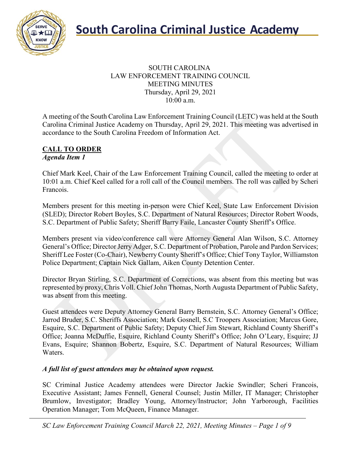

#### SOUTH CAROLINA LAW ENFORCEMENT TRAINING COUNCIL MEETING MINUTES Thursday, April 29, 2021 10:00 a.m.

A meeting of the South Carolina Law Enforcement Training Council (LETC) was held at the South Carolina Criminal Justice Academy on Thursday, April 29, 2021. This meeting was advertised in accordance to the South Carolina Freedom of Information Act.

#### **CALL TO ORDER** *Agenda Item 1*

Chief Mark Keel, Chair of the Law Enforcement Training Council, called the meeting to order at 10:01 a.m. Chief Keel called for a roll call of the Council members. The roll was called by Scheri Francois.

Members present for this meeting in-person were Chief Keel, State Law Enforcement Division (SLED); Director Robert Boyles, S.C. Department of Natural Resources; Director Robert Woods, S.C. Department of Public Safety; Sheriff Barry Faile, Lancaster County Sheriff's Office.

Members present via video/conference call were Attorney General Alan Wilson, S.C. Attorney General's Office; Director Jerry Adger, S.C. Department of Probation, Parole and Pardon Services; Sheriff Lee Foster (Co-Chair), Newberry County Sheriff's Office; Chief Tony Taylor, Williamston Police Department; Captain Nick Gallam, Aiken County Detention Center.

Director Bryan Stirling, S.C. Department of Corrections, was absent from this meeting but was represented by proxy, Chris Voll. Chief John Thomas, North Augusta Department of Public Safety, was absent from this meeting.

Guest attendees were Deputy Attorney General Barry Bernstein, S.C. Attorney General's Office; Jarrod Bruder, S.C. Sheriffs Association; Mark Gosnell, S.C Troopers Association; Marcus Gore, Esquire, S.C. Department of Public Safety; Deputy Chief Jim Stewart, Richland County Sheriff's Office; Joanna McDuffie, Esquire, Richland County Sheriff's Office; John O'Leary, Esquire; JJ Evans, Esquire; Shannon Bobertz, Esquire, S.C. Department of Natural Resources; William Waters.

#### *A full list of guest attendees may be obtained upon request.*

SC Criminal Justice Academy attendees were Director Jackie Swindler; Scheri Francois, Executive Assistant; James Fennell, General Counsel; Justin Miller, IT Manager; Christopher Brumlow, Investigator; Bradley Young, Attorney/Instructor; John Yarborough, Facilities Operation Manager; Tom McQueen, Finance Manager.

*SC Law Enforcement Training Council March 22, 2021, Meeting Minutes – Page 1 of 9*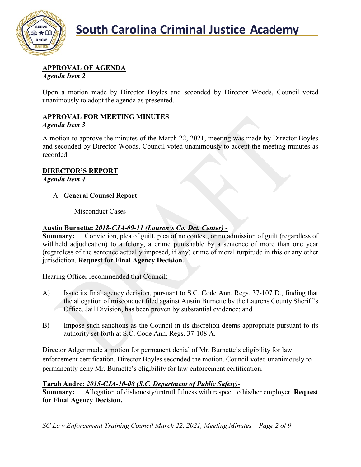

# **APPROVAL OF AGENDA**

*Agenda Item 2*

Upon a motion made by Director Boyles and seconded by Director Woods, Council voted unanimously to adopt the agenda as presented.

## **APPROVAL FOR MEETING MINUTES**

#### *Agenda Item 3*

A motion to approve the minutes of the March 22, 2021, meeting was made by Director Boyles and seconded by Director Woods. Council voted unanimously to accept the meeting minutes as recorded.

#### **DIRECTOR'S REPORT**

*Agenda Item 4*

#### A. **General Counsel Report**

Misconduct Cases

### **Austin Burnette:** *2018-CJA-09-11 (Lauren's Co. Det. Center)* **-**

**Summary:** Conviction, plea of guilt, plea of no contest, or no admission of guilt (regardless of withheld adjudication) to a felony, a crime punishable by a sentence of more than one year (regardless of the sentence actually imposed, if any) crime of moral turpitude in this or any other jurisdiction. **Request for Final Agency Decision.**

Hearing Officer recommended that Council:

- A) Issue its final agency decision, pursuant to S.C. Code Ann. Regs. 37-107 D., finding that the allegation of misconduct filed against Austin Burnette by the Laurens County Sheriff's Office, Jail Division, has been proven by substantial evidence; and
- B) Impose such sanctions as the Council in its discretion deems appropriate pursuant to its authority set forth at S.C. Code Ann. Regs. 37-108 A.

Director Adger made a motion for permanent denial of Mr. Burnette's eligibility for law enforcement certification. Director Boyles seconded the motion. Council voted unanimously to permanently deny Mr. Burnette's eligibility for law enforcement certification.

### **Tarah Andre:** *2015-CJA-10-08 (S.C. Department of Public Safety)***-**

**Summary:** Allegation of dishonesty/untruthfulness with respect to his/her employer. **Request for Final Agency Decision.**

*SC Law Enforcement Training Council March 22, 2021, Meeting Minutes – Page 2 of 9*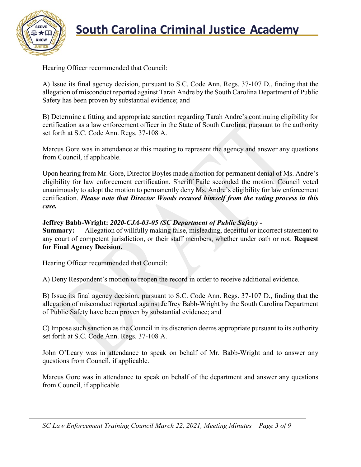

# **South Carolina Criminal Justice Academy**<br>KNOW

Hearing Officer recommended that Council:

A) Issue its final agency decision, pursuant to S.C. Code Ann. Regs. 37-107 D., finding that the allegation of misconduct reported against Tarah Andre by the South Carolina Department of Public Safety has been proven by substantial evidence; and

B) Determine a fitting and appropriate sanction regarding Tarah Andre's continuing eligibility for certification as a law enforcement officer in the State of South Carolina, pursuant to the authority set forth at S.C. Code Ann. Regs. 37-108 A.

Marcus Gore was in attendance at this meeting to represent the agency and answer any questions from Council, if applicable.

Upon hearing from Mr. Gore, Director Boyles made a motion for permanent denial of Ms. Andre's eligibility for law enforcement certification. Sheriff Faile seconded the motion. Council voted unanimously to adopt the motion to permanently deny Ms. Andre's eligibility for law enforcement certification. *Please note that Director Woods recused himself from the voting process in this case.*

#### **Jeffrey Babb-Wright:** *2020-CJA-03-05 (SC Department of Public Safety) -*

**Summary:** Allegation of willfully making false, misleading, deceitful or incorrect statement to any court of competent jurisdiction, or their staff members, whether under oath or not. **Request for Final Agency Decision.**

Hearing Officer recommended that Council:

A) Deny Respondent's motion to reopen the record in order to receive additional evidence.

B) Issue its final agency decision, pursuant to S.C. Code Ann. Regs. 37-107 D., finding that the allegation of misconduct reported against Jeffrey Babb-Wright by the South Carolina Department of Public Safety have been proven by substantial evidence; and

C) Impose such sanction as the Council in its discretion deems appropriate pursuant to its authority set forth at S.C. Code Ann. Regs. 37-108 A.

John O'Leary was in attendance to speak on behalf of Mr. Babb-Wright and to answer any questions from Council, if applicable.

Marcus Gore was in attendance to speak on behalf of the department and answer any questions from Council, if applicable.

*SC Law Enforcement Training Council March 22, 2021, Meeting Minutes – Page 3 of 9*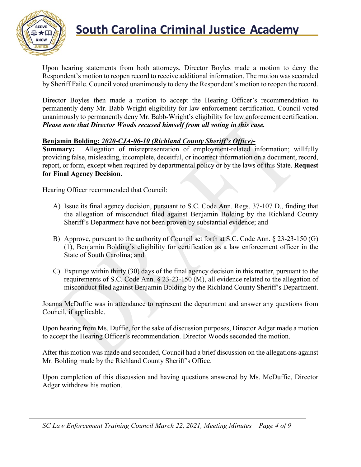

# **South Carolina Criminal Justice Academy**<br>KNOW 2008

Upon hearing statements from both attorneys, Director Boyles made a motion to deny the Respondent's motion to reopen record to receive additional information. The motion was seconded by Sheriff Faile. Council voted unanimously to deny the Respondent's motion to reopen the record.

Director Boyles then made a motion to accept the Hearing Officer's recommendation to permanently deny Mr. Babb-Wright eligibility for law enforcement certification. Council voted unanimously to permanently deny Mr. Babb-Wright's eligibility for law enforcement certification. *Please note that Director Woods recused himself from all voting in this case.*

#### **Benjamin Bolding:** *2020-CJA-06-10 (Richland County Sheriff's Office)***-**

**Summary:** Allegation of misrepresentation of employment-related information; willfully providing false, misleading, incomplete, deceitful, or incorrect information on a document, record, report, or form, except when required by departmental policy or by the laws of this State. **Request for Final Agency Decision.**

Hearing Officer recommended that Council:

- A) Issue its final agency decision, pursuant to S.C. Code Ann. Regs. 37-107 D., finding that the allegation of misconduct filed against Benjamin Bolding by the Richland County Sheriff's Department have not been proven by substantial evidence; and
- B) Approve, pursuant to the authority of Council set forth at S.C. Code Ann. § 23-23-150 (G) (1), Benjamin Bolding's eligibility for certification as a law enforcement officer in the State of South Carolina; and
- C) Expunge within thirty (30) days of the final agency decision in this matter, pursuant to the requirements of S.C. Code Ann. § 23-23-150 (M), all evidence related to the allegation of misconduct filed against Benjamin Bolding by the Richland County Sheriff's Department.

Joanna McDuffie was in attendance to represent the department and answer any questions from Council, if applicable.

Upon hearing from Ms. Duffie, for the sake of discussion purposes, Director Adger made a motion to accept the Hearing Officer's recommendation. Director Woods seconded the motion.

After this motion was made and seconded, Council had a brief discussion on the allegations against Mr. Bolding made by the Richland County Sheriff's Office.

Upon completion of this discussion and having questions answered by Ms. McDuffie, Director Adger withdrew his motion.

*SC Law Enforcement Training Council March 22, 2021, Meeting Minutes – Page 4 of 9*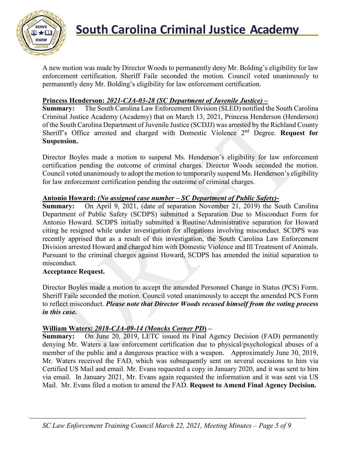

A new motion was made by Director Woods to permanently deny Mr. Bolding's eligibility for law enforcement certification. Sheriff Faile seconded the motion. Council voted unanimously to permanently deny Mr. Bolding's eligibility for law enforcement certification.

#### **Princess Henderson:** *2021-CJA-03-28 (SC Department of Juvenile Justice)* **–**

**Summary:** The South Carolina Law Enforcement Division (SLED) notified the South Carolina Criminal Justice Academy (Academy) that on March 13, 2021, Princess Henderson (Henderson) of the South Carolina Department of Juvenile Justice (SCDJJ) was arrested by the Richland County Sheriff's Office arrested and charged with Domestic Violence 2nd Degree. **Request for Suspension.**

Director Boyles made a motion to suspend Ms. Henderson's eligibility for law enforcement certification pending the outcome of criminal charges. Director Woods seconded the motion. Council voted unanimously to adopt the motion to temporarily suspend Ms. Henderson's eligibility for law enforcement certification pending the outcome of criminal charges.

#### **Antonio Howard:** *(No assigned case number – SC Department of Public Safety)***-**

**Summary:** On April 9, 2021, (date of separation November 21, 2019) the South Carolina Department of Public Safety (SCDPS) submitted a Separation Due to Misconduct Form for Antonio Howard. SCDPS initially submitted a Routine/Administrative separation for Howard citing he resigned while under investigation for allegations involving misconduct. SCDPS was recently apprised that as a result of this investigation, the South Carolina Law Enforcement Division arrested Howard and charged him with Domestic Violence and Ill Treatment of Animals. Pursuant to the criminal charges against Howard, SCDPS has amended the initial separation to misconduct.

#### **Acceptance Request.**

Director Boyles made a motion to accept the amended Personnel Change in Status (PCS) Form. Sheriff Faile seconded the motion. Council voted unanimously to accept the amended PCS Form to reflect misconduct. *Please note that Director Woods recused himself from the voting process in this case.*

#### **William Waters:** *2018-CJA-09-14 (Moncks Corner PD***) –**

**Summary:** On June 20, 2019, LETC issued its Final Agency Decision (FAD) permanently denying Mr. Waters a law enforcement certification due to physical/psychological abuses of a member of the public and a dangerous practice with a weapon. Approximately June 30, 2019, Mr. Waters received the FAD, which was subsequently sent on several occasions to him via Certified US Mail and email. Mr. Evans requested a copy in January 2020, and it was sent to him via email. In January 2021, Mr. Evans again requested the information and it was sent via US Mail. Mr. Evans filed a motion to amend the FAD. **Request to Amend Final Agency Decision.**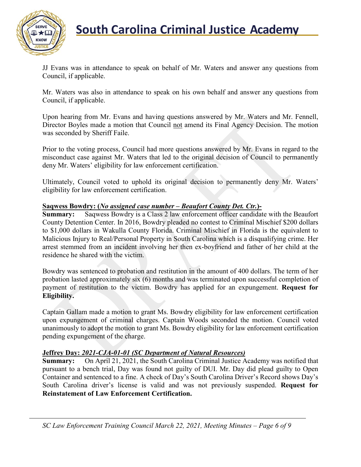

# **South Carolina Criminal Justice Academy**<br>KNOW 2008

JJ Evans was in attendance to speak on behalf of Mr. Waters and answer any questions from Council, if applicable.

Mr. Waters was also in attendance to speak on his own behalf and answer any questions from Council, if applicable.

Upon hearing from Mr. Evans and having questions answered by Mr. Waters and Mr. Fennell, Director Boyles made a motion that Council not amend its Final Agency Decision. The motion was seconded by Sheriff Faile.

Prior to the voting process, Council had more questions answered by Mr. Evans in regard to the misconduct case against Mr. Waters that led to the original decision of Council to permanently deny Mr. Waters' eligibility for law enforcement certification.

Ultimately, Council voted to uphold its original decision to permanently deny Mr. Waters' eligibility for law enforcement certification.

#### **Saqwess Bowdry: (***No assigned case number – Beaufort County Det. Ctr.***)-**

**Summary:** Saqwess Bowdry is a Class 2 law enforcement officer candidate with the Beaufort County Detention Center. In 2016, Bowdry pleaded no contest to Criminal Mischief \$200 dollars to \$1,000 dollars in Wakulla County Florida. Criminal Mischief in Florida is the equivalent to Malicious Injury to Real/Personal Property in South Carolina which is a disqualifying crime. Her arrest stemmed from an incident involving her then ex-boyfriend and father of her child at the residence he shared with the victim.

Bowdry was sentenced to probation and restitution in the amount of 400 dollars. The term of her probation lasted approximately six (6) months and was terminated upon successful completion of payment of restitution to the victim. Bowdry has applied for an expungement. **Request for Eligibility.**

Captain Gallam made a motion to grant Ms. Bowdry eligibility for law enforcement certification upon expungement of criminal charges. Captain Woods seconded the motion. Council voted unanimously to adopt the motion to grant Ms. Bowdry eligibility for law enforcement certification pending expungement of the charge.

#### **Jeffrey Day:** *2021-CJA-01-01 (SC Department of Natural Resources)*

**Summary:** On April 21, 2021, the South Carolina Criminal Justice Academy was notified that pursuant to a bench trial, Day was found not guilty of DUI. Mr. Day did plead guilty to Open Container and sentenced to a fine. A check of Day's South Carolina Driver's Record shows Day's South Carolina driver's license is valid and was not previously suspended. **Request for Reinstatement of Law Enforcement Certification.**

*SC Law Enforcement Training Council March 22, 2021, Meeting Minutes – Page 6 of 9*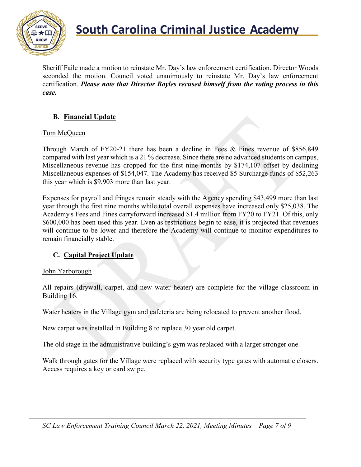

Sheriff Faile made a motion to reinstate Mr. Day's law enforcement certification. Director Woods seconded the motion. Council voted unanimously to reinstate Mr. Day's law enforcement certification. *Please note that Director Boyles recused himself from the voting process in this case.*

### **B. Financial Update**

#### Tom McQueen

Through March of FY20-21 there has been a decline in Fees & Fines revenue of \$856,849 compared with last year which is a 21 % decrease. Since there are no advanced students on campus, Miscellaneous revenue has dropped for the first nine months by \$174,107 offset by declining Miscellaneous expenses of \$154,047. The Academy has received \$5 Surcharge funds of \$52,263 this year which is \$9,903 more than last year.

Expenses for payroll and fringes remain steady with the Agency spending \$43,499 more than last year through the first nine months while total overall expenses have increased only \$25,038. The Academy's Fees and Fines carryforward increased \$1.4 million from FY20 to FY21. Of this, only \$600,000 has been used this year. Even as restrictions begin to ease, it is projected that revenues will continue to be lower and therefore the Academy will continue to monitor expenditures to remain financially stable.

#### **C. Capital Project Update**

#### John Yarborough

All repairs (drywall, carpet, and new water heater) are complete for the village classroom in Building 16.

Water heaters in the Village gym and cafeteria are being relocated to prevent another flood.

New carpet was installed in Building 8 to replace 30 year old carpet.

The old stage in the administrative building's gym was replaced with a larger stronger one.

Walk through gates for the Village were replaced with security type gates with automatic closers. Access requires a key or card swipe.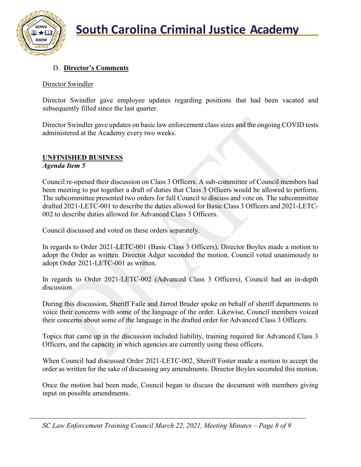

## D. **Director's Comments**

#### Director Swindler

Director Swindler gave employee updates regarding positions that had been vacated and subsequently filled since the last quarter.

Director Swindler gave updates on basic law enforcement class sizes and the ongoing COVID tests administered at the Academy every two weeks.

## **UNFINISHED BUSINESS**

#### *Agenda Item 5*

Council re-opened their discussion on Class 3 Officers. A sub-committee of Council members had been meeting to put together a draft of duties that Class 3 Officers would be allowed to perform. The subcommittee presented two orders for full Council to discuss and vote on. The subcommittee drafted 2021-LETC-001 to describe the duties allowed for Basic Class 3 Officers and 2021-LETC-002 to describe duties allowed for Advanced Class 3 Officers.

Council discussed and voted on these orders separately.

In regards to Order 2021-LETC-001 (Basic Class 3 Officers), Director Boyles made a motion to adopt the Order as written. Director Adger seconded the motion. Council voted unanimously to adopt Order 2021-LETC-001 as written.

In regards to Order 2021-LETC-002 (Advanced Class 3 Officers), Council had an in-depth discussion.

During this discussion, Sheriff Faile and Jarrod Bruder spoke on behalf of sheriff departments to voice their concerns with some of the language of the order. Likewise, Council members voiced their concerns about some of the language in the drafted order for Advanced Class 3 Officers.

Topics that came up in the discussion included liability, training required for Advanced Class 3 Officers, and the capacity in which agencies are currently using these officers.

When Council had discussed Order 2021-LETC-002, Sheriff Foster made a motion to accept the order as written for the sake of discussing any amendments. Director Boyles seconded this motion.

Once the motion had been made, Council began to discuss the document with members giving input on possible amendments.

*SC Law Enforcement Training Council March 22, 2021, Meeting Minutes – Page 8 of 9*